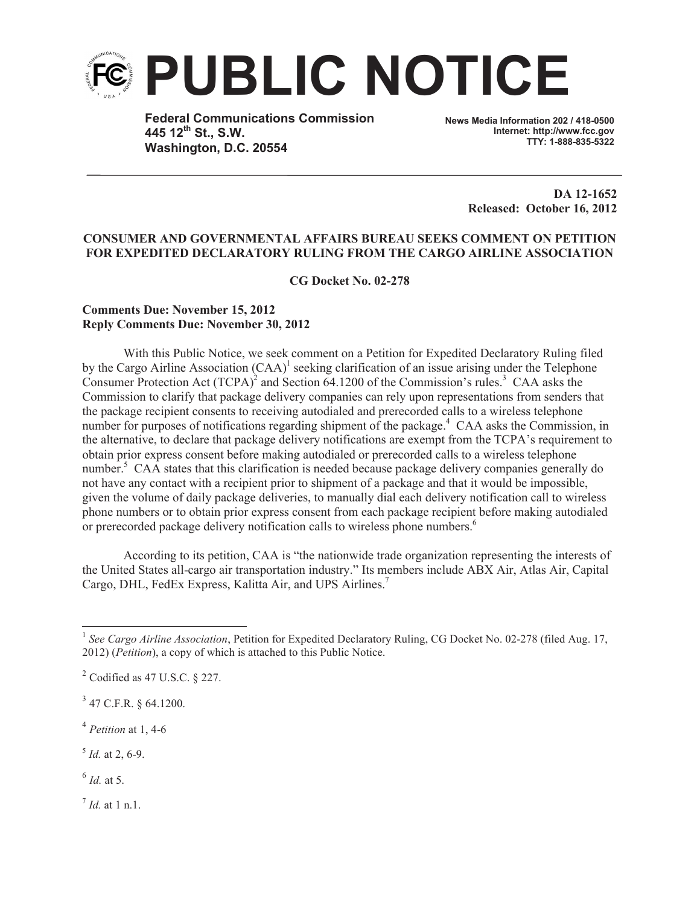

**Federal Communications Commission 445 12th St., S.W. Washington, D.C. 20554**

**News Media Information 202 / 418-0500 Internet: http://www.fcc.gov TTY: 1-888-835-5322**

> **DA 12-1652 Released: October 16, 2012**

## **CONSUMER AND GOVERNMENTAL AFFAIRS BUREAU SEEKS COMMENT ON PETITION FOR EXPEDITED DECLARATORY RULING FROM THE CARGO AIRLINE ASSOCIATION**

**CG Docket No. 02-278**

## **Comments Due: November 15, 2012 Reply Comments Due: November 30, 2012**

With this Public Notice, we seek comment on a Petition for Expedited Declaratory Ruling filed by the Cargo Airline Association  $(CAA)^1$  seeking clarification of an issue arising under the Telephone Consumer Protection Act  $(TCPA)^2$  and Section 64.1200 of the Commission's rules.<sup>3</sup> CAA asks the Commission to clarify that package delivery companies can rely upon representations from senders that the package recipient consents to receiving autodialed and prerecorded calls to a wireless telephone number for purposes of notifications regarding shipment of the package.<sup>4</sup> CAA asks the Commission, in the alternative, to declare that package delivery notifications are exempt from the TCPA's requirement to obtain prior express consent before making autodialed or prerecorded calls to a wireless telephone number.<sup>5</sup> CAA states that this clarification is needed because package delivery companies generally do not have any contact with a recipient prior to shipment of a package and that it would be impossible, given the volume of daily package deliveries, to manually dial each delivery notification call to wireless phone numbers or to obtain prior express consent from each package recipient before making autodialed or prerecorded package delivery notification calls to wireless phone numbers.<sup>6</sup>

According to its petition, CAA is "the nationwide trade organization representing the interests of the United States all-cargo air transportation industry." Its members include ABX Air, Atlas Air, Capital Cargo, DHL, FedEx Express, Kalitta Air, and UPS Airlines.<sup>7</sup>

 $3$  47 C.F.R. § 64.1200.

4 *Petition* at 1, 4-6

5 *Id.* at 2, 6-9.

6 *Id.* at 5.

7 *Id.* at 1 n.1.

<sup>&</sup>lt;sup>1</sup> See Cargo Airline Association, Petition for Expedited Declaratory Ruling, CG Docket No. 02-278 (filed Aug. 17, 2012) (*Petition*), a copy of which is attached to this Public Notice.

 $2^2$  Codified as 47 U.S.C. § 227.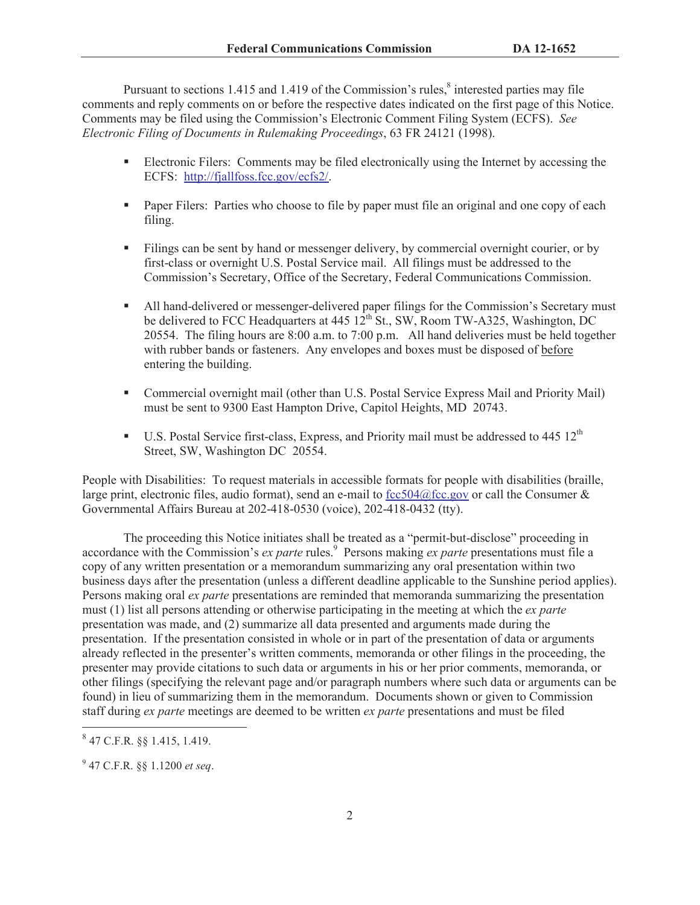Pursuant to sections 1.415 and 1.419 of the Commission's rules, $\delta$  interested parties may file comments and reply comments on or before the respective dates indicated on the first page of this Notice. Comments may be filed using the Commission's Electronic Comment Filing System (ECFS). *See Electronic Filing of Documents in Rulemaking Proceedings*, 63 FR 24121 (1998).

- Electronic Filers: Comments may be filed electronically using the Internet by accessing the ECFS: http://fjallfoss.fcc.gov/ecfs2/.
- Paper Filers: Parties who choose to file by paper must file an original and one copy of each filing.
- Filings can be sent by hand or messenger delivery, by commercial overnight courier, or by first-class or overnight U.S. Postal Service mail. All filings must be addressed to the Commission's Secretary, Office of the Secretary, Federal Communications Commission.
- All hand-delivered or messenger-delivered paper filings for the Commission's Secretary must be delivered to FCC Headquarters at 445  $12^{th}$  St., SW, Room TW-A325, Washington, DC 20554. The filing hours are 8:00 a.m. to 7:00 p.m. All hand deliveries must be held together with rubber bands or fasteners. Any envelopes and boxes must be disposed of before entering the building.
- Commercial overnight mail (other than U.S. Postal Service Express Mail and Priority Mail) must be sent to 9300 East Hampton Drive, Capitol Heights, MD 20743.
- U.S. Postal Service first-class, Express, and Priority mail must be addressed to 445 12<sup>th</sup> Street, SW, Washington DC 20554.

People with Disabilities: To request materials in accessible formats for people with disabilities (braille, large print, electronic files, audio format), send an e-mail to fcc504@fcc.gov or call the Consumer  $\&$ Governmental Affairs Bureau at 202-418-0530 (voice), 202-418-0432 (tty).

The proceeding this Notice initiates shall be treated as a "permit-but-disclose" proceeding in accordance with the Commission's *ex parte* rules.<sup>9</sup> Persons making *ex parte* presentations must file a copy of any written presentation or a memorandum summarizing any oral presentation within two business days after the presentation (unless a different deadline applicable to the Sunshine period applies). Persons making oral *ex parte* presentations are reminded that memoranda summarizing the presentation must (1) list all persons attending or otherwise participating in the meeting at which the *ex parte*  presentation was made, and (2) summarize all data presented and arguments made during the presentation. If the presentation consisted in whole or in part of the presentation of data or arguments already reflected in the presenter's written comments, memoranda or other filings in the proceeding, the presenter may provide citations to such data or arguments in his or her prior comments, memoranda, or other filings (specifying the relevant page and/or paragraph numbers where such data or arguments can be found) in lieu of summarizing them in the memorandum. Documents shown or given to Commission staff during *ex parte* meetings are deemed to be written *ex parte* presentations and must be filed

<sup>8</sup> 47 C.F.R. §§ 1.415, 1.419.

<sup>9</sup> 47 C.F.R. §§ 1.1200 *et seq*.